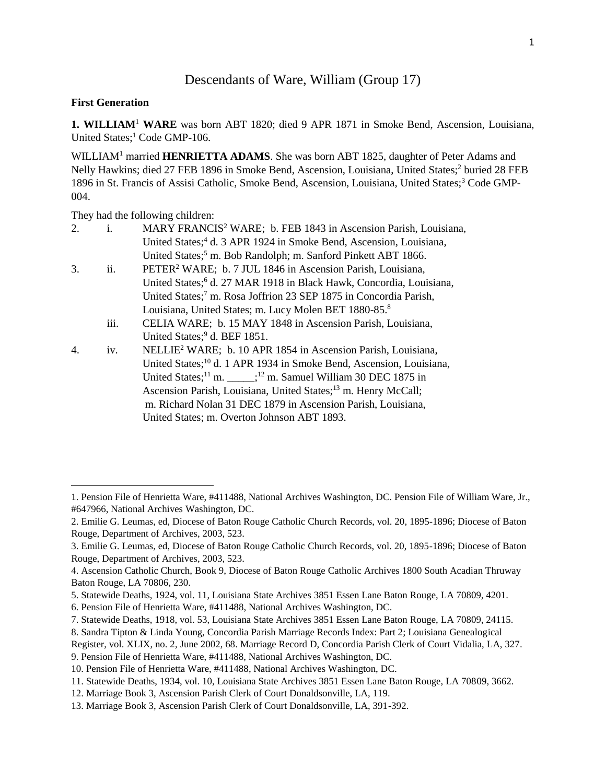# Descendants of Ware, William (Group 17)

### **First Generation**

 $\overline{a}$ 

**1. WILLIAM**<sup>1</sup> **WARE** was born ABT 1820; died 9 APR 1871 in Smoke Bend, Ascension, Louisiana, United States;<sup>1</sup> Code GMP-106.

WILLIAM<sup>1</sup> married **HENRIETTA ADAMS**. She was born ABT 1825, daughter of Peter Adams and Nelly Hawkins; died 27 FEB 1896 in Smoke Bend, Ascension, Louisiana, United States;<sup>2</sup> buried 28 FEB 1896 in St. Francis of Assisi Catholic, Smoke Bend, Ascension, Louisiana, United States;<sup>3</sup> Code GMP-004.

They had the following children:

| 2. | i.   | MARY FRANCIS <sup>2</sup> WARE; b. FEB 1843 in Ascension Parish, Louisiana,           |
|----|------|---------------------------------------------------------------------------------------|
|    |      | United States; <sup>4</sup> d. 3 APR 1924 in Smoke Bend, Ascension, Louisiana,        |
|    |      | United States; <sup>5</sup> m. Bob Randolph; m. Sanford Pinkett ABT 1866.             |
| 3. | ii.  | PETER <sup>2</sup> WARE; b. 7 JUL 1846 in Ascension Parish, Louisiana,                |
|    |      | United States; <sup>6</sup> d. 27 MAR 1918 in Black Hawk, Concordia, Louisiana,       |
|    |      | United States; <sup>7</sup> m. Rosa Joffrion 23 SEP 1875 in Concordia Parish,         |
|    |      | Louisiana, United States; m. Lucy Molen BET 1880-85. <sup>8</sup>                     |
|    | iii. | CELIA WARE; b. 15 MAY 1848 in Ascension Parish, Louisiana,                            |
|    |      | United States; <sup>9</sup> d. BEF 1851.                                              |
| 4. | iv.  | NELLIE <sup>2</sup> WARE; b. 10 APR 1854 in Ascension Parish, Louisiana,              |
|    |      | United States; <sup>10</sup> d. 1 APR 1934 in Smoke Bend, Ascension, Louisiana,       |
|    |      | United States; <sup>11</sup> m. _____; <sup>12</sup> m. Samuel William 30 DEC 1875 in |
|    |      | Ascension Parish, Louisiana, United States; <sup>13</sup> m. Henry McCall;            |
|    |      | m. Richard Nolan 31 DEC 1879 in Ascension Parish, Louisiana,                          |
|    |      | United States; m. Overton Johnson ABT 1893.                                           |

<sup>1.</sup> Pension File of Henrietta Ware, #411488, National Archives Washington, DC. Pension File of William Ware, Jr., #647966, National Archives Washington, DC.

<sup>2.</sup> Emilie G. Leumas, ed, Diocese of Baton Rouge Catholic Church Records, vol. 20, 1895-1896; Diocese of Baton Rouge, Department of Archives, 2003, 523.

<sup>3.</sup> Emilie G. Leumas, ed, Diocese of Baton Rouge Catholic Church Records, vol. 20, 1895-1896; Diocese of Baton Rouge, Department of Archives, 2003, 523.

<sup>4.</sup> Ascension Catholic Church, Book 9, Diocese of Baton Rouge Catholic Archives 1800 South Acadian Thruway Baton Rouge, LA 70806, 230.

<sup>5.</sup> Statewide Deaths, 1924, vol. 11, Louisiana State Archives 3851 Essen Lane Baton Rouge, LA 70809, 4201.

<sup>6.</sup> Pension File of Henrietta Ware, #411488, National Archives Washington, DC.

<sup>7.</sup> Statewide Deaths, 1918, vol. 53, Louisiana State Archives 3851 Essen Lane Baton Rouge, LA 70809, 24115.

<sup>8.</sup> Sandra Tipton & Linda Young, Concordia Parish Marriage Records Index: Part 2; Louisiana Genealogical

Register, vol. XLIX, no. 2, June 2002, 68. Marriage Record D, Concordia Parish Clerk of Court Vidalia, LA, 327.

<sup>9.</sup> Pension File of Henrietta Ware, #411488, National Archives Washington, DC.

<sup>10.</sup> Pension File of Henrietta Ware, #411488, National Archives Washington, DC.

<sup>11.</sup> Statewide Deaths, 1934, vol. 10, Louisiana State Archives 3851 Essen Lane Baton Rouge, LA 70809, 3662.

<sup>12.</sup> Marriage Book 3, Ascension Parish Clerk of Court Donaldsonville, LA, 119.

<sup>13.</sup> Marriage Book 3, Ascension Parish Clerk of Court Donaldsonville, LA, 391-392.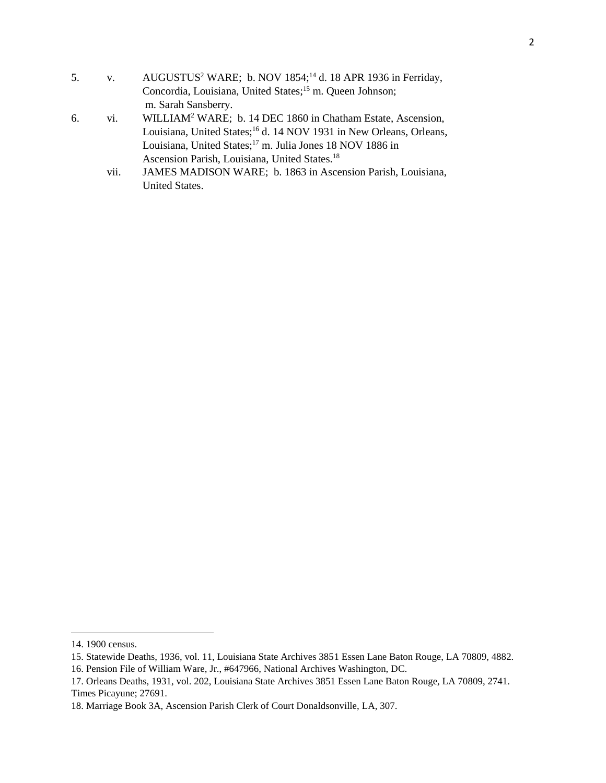- 5. v. AUGUSTUS<sup>2</sup> WARE; b. NOV 1854;<sup>14</sup> d. 18 APR 1936 in Ferriday, Concordia, Louisiana, United States;<sup>15</sup> m. Queen Johnson; m. Sarah Sansberry.
- 6. vi. WILLIAM<sup>2</sup> WARE; b. 14 DEC 1860 in Chatham Estate, Ascension, Louisiana, United States;<sup>16</sup> d. 14 NOV 1931 in New Orleans, Orleans, Louisiana, United States;<sup>17</sup> m. Julia Jones 18 NOV 1886 in Ascension Parish, Louisiana, United States.<sup>18</sup>
	- vii. JAMES MADISON WARE; b. 1863 in Ascension Parish, Louisiana, United States.

 $\overline{a}$ 

<sup>14. 1900</sup> census.

<sup>15.</sup> Statewide Deaths, 1936, vol. 11, Louisiana State Archives 3851 Essen Lane Baton Rouge, LA 70809, 4882.

<sup>16.</sup> Pension File of William Ware, Jr., #647966, National Archives Washington, DC.

<sup>17.</sup> Orleans Deaths, 1931, vol. 202, Louisiana State Archives 3851 Essen Lane Baton Rouge, LA 70809, 2741. Times Picayune; 27691.

<sup>18.</sup> Marriage Book 3A, Ascension Parish Clerk of Court Donaldsonville, LA, 307.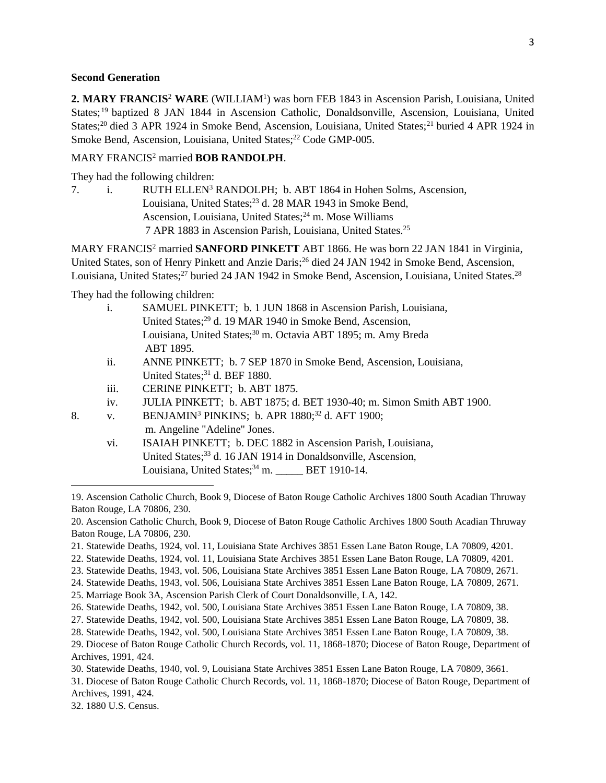#### **Second Generation**

**2. MARY FRANCIS**<sup>2</sup> **WARE** (WILLIAM<sup>1</sup> ) was born FEB 1843 in Ascension Parish, Louisiana, United States; <sup>19</sup> baptized 8 JAN 1844 in Ascension Catholic, Donaldsonville, Ascension, Louisiana, United States;<sup>20</sup> died 3 APR 1924 in Smoke Bend, Ascension, Louisiana, United States;<sup>21</sup> buried 4 APR 1924 in Smoke Bend, Ascension, Louisiana, United States;<sup>22</sup> Code GMP-005.

# MARY FRANCIS<sup>2</sup> married **BOB RANDOLPH**.

They had the following children:

7. i. RUTH ELLEN<sup>3</sup> RANDOLPH; b. ABT 1864 in Hohen Solms, Ascension, Louisiana, United States;<sup>23</sup> d. 28 MAR 1943 in Smoke Bend, Ascension, Louisiana, United States;<sup>24</sup> m. Mose Williams 7 APR 1883 in Ascension Parish, Louisiana, United States.<sup>25</sup>

MARY FRANCIS<sup>2</sup> married **SANFORD PINKETT** ABT 1866. He was born 22 JAN 1841 in Virginia, United States, son of Henry Pinkett and Anzie Daris;<sup>26</sup> died 24 JAN 1942 in Smoke Bend, Ascension, Louisiana, United States;<sup>27</sup> buried 24 JAN 1942 in Smoke Bend, Ascension, Louisiana, United States.<sup>28</sup>

They had the following children:

- i. SAMUEL PINKETT; b. 1 JUN 1868 in Ascension Parish, Louisiana, United States;<sup>29</sup> d. 19 MAR 1940 in Smoke Bend, Ascension, Louisiana, United States;<sup>30</sup> m. Octavia ABT 1895; m. Amy Breda ABT 1895.
- ii. ANNE PINKETT; b. 7 SEP 1870 in Smoke Bend, Ascension, Louisiana, United States;<sup>31</sup> d. BEF 1880.
- iii. CERINE PINKETT; b. ABT 1875.
- iv. JULIA PINKETT; b. ABT 1875; d. BET 1930-40; m. Simon Smith ABT 1900.

8. v. BENJAMIN<sup>3</sup> PINKINS; b. APR  $1880;^{32}$  d. AFT 1900; m. Angeline "Adeline" Jones.

> vi. ISAIAH PINKETT; b. DEC 1882 in Ascension Parish, Louisiana, United States;<sup>33</sup> d. 16 JAN 1914 in Donaldsonville, Ascension, Louisiana, United States;<sup>34</sup> m. \_\_\_\_\_ BET 1910-14.

19. Ascension Catholic Church, Book 9, Diocese of Baton Rouge Catholic Archives 1800 South Acadian Thruway Baton Rouge, LA 70806, 230.

21. Statewide Deaths, 1924, vol. 11, Louisiana State Archives 3851 Essen Lane Baton Rouge, LA 70809, 4201.

23. Statewide Deaths, 1943, vol. 506, Louisiana State Archives 3851 Essen Lane Baton Rouge, LA 70809, 2671.

- 25. Marriage Book 3A, Ascension Parish Clerk of Court Donaldsonville, LA, 142.
- 26. Statewide Deaths, 1942, vol. 500, Louisiana State Archives 3851 Essen Lane Baton Rouge, LA 70809, 38.
- 27. Statewide Deaths, 1942, vol. 500, Louisiana State Archives 3851 Essen Lane Baton Rouge, LA 70809, 38.

30. Statewide Deaths, 1940, vol. 9, Louisiana State Archives 3851 Essen Lane Baton Rouge, LA 70809, 3661.

31. Diocese of Baton Rouge Catholic Church Records, vol. 11, 1868-1870; Diocese of Baton Rouge, Department of Archives, 1991, 424.

32. 1880 U.S. Census.

 $\overline{a}$ 

<sup>20.</sup> Ascension Catholic Church, Book 9, Diocese of Baton Rouge Catholic Archives 1800 South Acadian Thruway Baton Rouge, LA 70806, 230.

<sup>22.</sup> Statewide Deaths, 1924, vol. 11, Louisiana State Archives 3851 Essen Lane Baton Rouge, LA 70809, 4201.

<sup>24.</sup> Statewide Deaths, 1943, vol. 506, Louisiana State Archives 3851 Essen Lane Baton Rouge, LA 70809, 2671.

<sup>28.</sup> Statewide Deaths, 1942, vol. 500, Louisiana State Archives 3851 Essen Lane Baton Rouge, LA 70809, 38.

<sup>29.</sup> Diocese of Baton Rouge Catholic Church Records, vol. 11, 1868-1870; Diocese of Baton Rouge, Department of Archives, 1991, 424.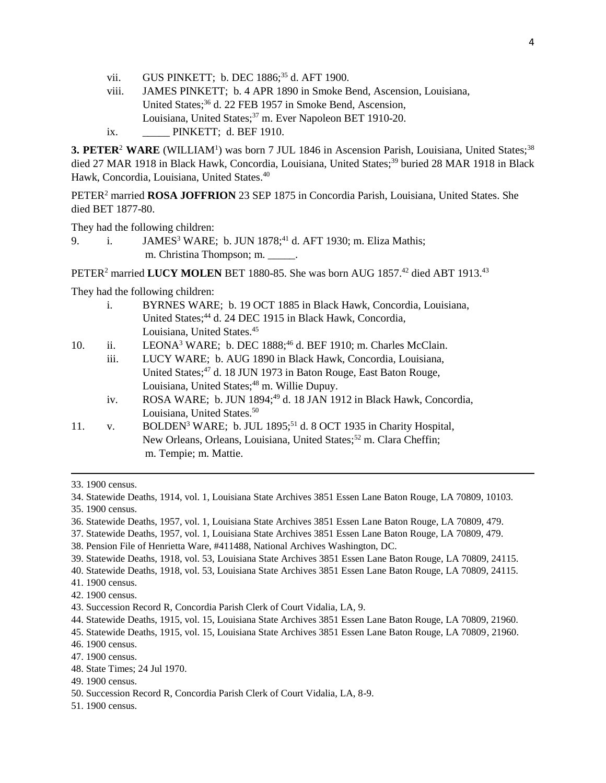- vii. GUS PINKETT: b. DEC 1886:<sup>35</sup> d. AFT 1900.
- viii. JAMES PINKETT; b. 4 APR 1890 in Smoke Bend, Ascension, Louisiana, United States;<sup>36</sup> d. 22 FEB 1957 in Smoke Bend, Ascension, Louisiana, United States;<sup>37</sup> m. Ever Napoleon BET 1910-20. ix. \_\_\_\_\_ PINKETT; d. BEF 1910.

**3. PETER<sup>2</sup> WARE** (WILLIAM<sup>1</sup>) was born 7 JUL 1846 in Ascension Parish, Louisiana, United States;<sup>38</sup> died 27 MAR 1918 in Black Hawk, Concordia, Louisiana, United States;<sup>39</sup> buried 28 MAR 1918 in Black Hawk, Concordia, Louisiana, United States.<sup>40</sup>

PETER<sup>2</sup> married **ROSA JOFFRION** 23 SEP 1875 in Concordia Parish, Louisiana, United States. She died BET 1877-80.

They had the following children:

9. i. JAMES<sup>3</sup> WARE; b. JUN 1878;<sup>41</sup> d. AFT 1930; m. Eliza Mathis; m. Christina Thompson; m. \_\_\_\_\_.

PETER<sup>2</sup> married LUCY MOLEN BET 1880-85. She was born AUG 1857.<sup>42</sup> died ABT 1913.<sup>43</sup>

They had the following children:

- i. BYRNES WARE; b. 19 OCT 1885 in Black Hawk, Concordia, Louisiana, United States;<sup>44</sup> d. 24 DEC 1915 in Black Hawk, Concordia, Louisiana, United States.<sup>45</sup>
- 10. ii. LEONA<sup>3</sup> WARE; b. DEC 1888;<sup>46</sup> d. BEF 1910; m. Charles McClain.
	- iii. LUCY WARE; b. AUG 1890 in Black Hawk, Concordia, Louisiana, United States;<sup>47</sup> d. 18 JUN 1973 in Baton Rouge, East Baton Rouge, Louisiana, United States;<sup>48</sup> m. Willie Dupuy.
	- iv. ROSA WARE; b. JUN 1894;<sup>49</sup> d. 18 JAN 1912 in Black Hawk, Concordia, Louisiana, United States.<sup>50</sup>
- 11. v. BOLDEN<sup>3</sup> WARE; b. JUL 1895;<sup>51</sup> d. 8 OCT 1935 in Charity Hospital, New Orleans, Orleans, Louisiana, United States;<sup>52</sup> m. Clara Cheffin; m. Tempie; m. Mattie.

- 36. Statewide Deaths, 1957, vol. 1, Louisiana State Archives 3851 Essen Lane Baton Rouge, LA 70809, 479.
- 37. Statewide Deaths, 1957, vol. 1, Louisiana State Archives 3851 Essen Lane Baton Rouge, LA 70809, 479.
- 38. Pension File of Henrietta Ware, #411488, National Archives Washington, DC.
- 39. Statewide Deaths, 1918, vol. 53, Louisiana State Archives 3851 Essen Lane Baton Rouge, LA 70809, 24115.
- 40. Statewide Deaths, 1918, vol. 53, Louisiana State Archives 3851 Essen Lane Baton Rouge, LA 70809, 24115.
- 41. 1900 census.
- 42. 1900 census.
- 43. Succession Record R, Concordia Parish Clerk of Court Vidalia, LA, 9.
- 44. Statewide Deaths, 1915, vol. 15, Louisiana State Archives 3851 Essen Lane Baton Rouge, LA 70809, 21960.
- 45. Statewide Deaths, 1915, vol. 15, Louisiana State Archives 3851 Essen Lane Baton Rouge, LA 70809, 21960. 46. 1900 census.
- 47. 1900 census.
- 48. State Times; 24 Jul 1970.
- 49. 1900 census.
- 50. Succession Record R, Concordia Parish Clerk of Court Vidalia, LA, 8-9.
- 51. 1900 census.

<sup>33. 1900</sup> census.

<sup>34.</sup> Statewide Deaths, 1914, vol. 1, Louisiana State Archives 3851 Essen Lane Baton Rouge, LA 70809, 10103.

<sup>35. 1900</sup> census.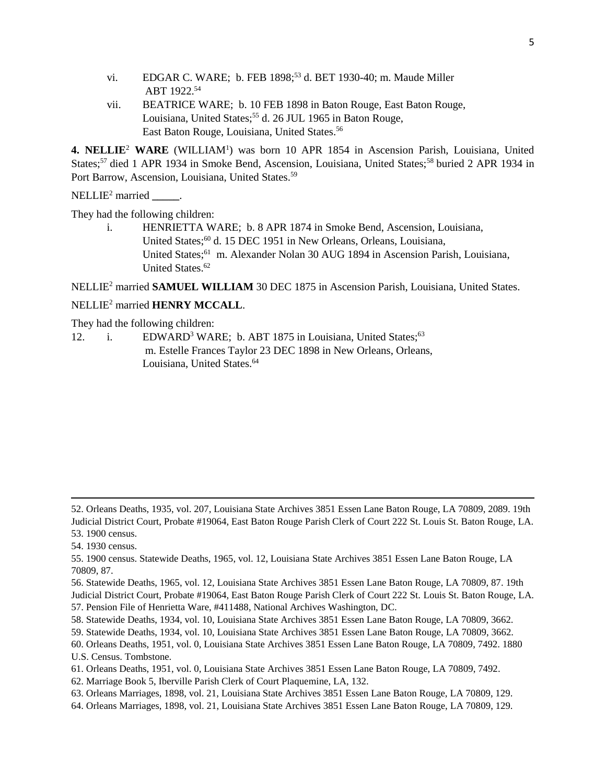- vi. EDGAR C. WARE; b. FEB 1898;<sup>53</sup> d. BET 1930-40; m. Maude Miller ABT 1922.<sup>54</sup>
- vii. BEATRICE WARE; b. 10 FEB 1898 in Baton Rouge, East Baton Rouge, Louisiana, United States;<sup>55</sup> d. 26 JUL 1965 in Baton Rouge, East Baton Rouge, Louisiana, United States.<sup>56</sup>

4. NELLIE<sup>2</sup> WARE (WILLIAM<sup>1</sup>) was born 10 APR 1854 in Ascension Parish, Louisiana, United States;<sup>57</sup> died 1 APR 1934 in Smoke Bend, Ascension, Louisiana, United States;<sup>58</sup> buried 2 APR 1934 in Port Barrow, Ascension, Louisiana, United States.<sup>59</sup>

NELLIE<sup>2</sup> married **\_\_\_\_\_**.

They had the following children:

i. HENRIETTA WARE; b. 8 APR 1874 in Smoke Bend, Ascension, Louisiana, United States;<sup>60</sup> d. 15 DEC 1951 in New Orleans, Orleans, Louisiana, United States;<sup>61</sup> m. Alexander Nolan 30 AUG 1894 in Ascension Parish, Louisiana, United States.<sup>62</sup>

NELLIE<sup>2</sup> married **SAMUEL WILLIAM** 30 DEC 1875 in Ascension Parish, Louisiana, United States.

#### NELLIE<sup>2</sup> married **HENRY MCCALL**.

They had the following children:

12. i. EDWARD<sup>3</sup> WARE; b. ABT 1875 in Louisiana, United States;<sup>63</sup> m. Estelle Frances Taylor 23 DEC 1898 in New Orleans, Orleans, Louisiana, United States.<sup>64</sup>

- 56. Statewide Deaths, 1965, vol. 12, Louisiana State Archives 3851 Essen Lane Baton Rouge, LA 70809, 87. 19th Judicial District Court, Probate #19064, East Baton Rouge Parish Clerk of Court 222 St. Louis St. Baton Rouge, LA. 57. Pension File of Henrietta Ware, #411488, National Archives Washington, DC.
- 58. Statewide Deaths, 1934, vol. 10, Louisiana State Archives 3851 Essen Lane Baton Rouge, LA 70809, 3662.

- 60. Orleans Deaths, 1951, vol. 0, Louisiana State Archives 3851 Essen Lane Baton Rouge, LA 70809, 7492. 1880 U.S. Census. Tombstone.
- 61. Orleans Deaths, 1951, vol. 0, Louisiana State Archives 3851 Essen Lane Baton Rouge, LA 70809, 7492.
- 62. Marriage Book 5, Iberville Parish Clerk of Court Plaquemine, LA, 132.
- 63. Orleans Marriages, 1898, vol. 21, Louisiana State Archives 3851 Essen Lane Baton Rouge, LA 70809, 129.
- 64. Orleans Marriages, 1898, vol. 21, Louisiana State Archives 3851 Essen Lane Baton Rouge, LA 70809, 129.

<sup>52.</sup> Orleans Deaths, 1935, vol. 207, Louisiana State Archives 3851 Essen Lane Baton Rouge, LA 70809, 2089. 19th Judicial District Court, Probate #19064, East Baton Rouge Parish Clerk of Court 222 St. Louis St. Baton Rouge, LA. 53. 1900 census.

<sup>54. 1930</sup> census.

<sup>55. 1900</sup> census. Statewide Deaths, 1965, vol. 12, Louisiana State Archives 3851 Essen Lane Baton Rouge, LA 70809, 87.

<sup>59.</sup> Statewide Deaths, 1934, vol. 10, Louisiana State Archives 3851 Essen Lane Baton Rouge, LA 70809, 3662.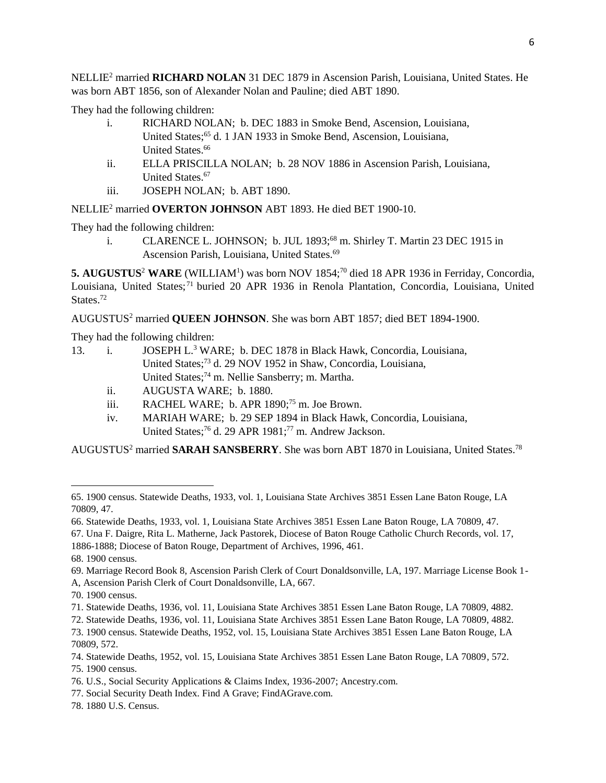NELLIE<sup>2</sup> married **RICHARD NOLAN** 31 DEC 1879 in Ascension Parish, Louisiana, United States. He was born ABT 1856, son of Alexander Nolan and Pauline; died ABT 1890.

They had the following children:

- i. RICHARD NOLAN; b. DEC 1883 in Smoke Bend, Ascension, Louisiana, United States;<sup>65</sup> d. 1 JAN 1933 in Smoke Bend, Ascension, Louisiana. United States.<sup>66</sup>
- ii. ELLA PRISCILLA NOLAN; b. 28 NOV 1886 in Ascension Parish, Louisiana, United States.<sup>67</sup>
- iii. JOSEPH NOLAN; b. ABT 1890.

NELLIE<sup>2</sup> married **OVERTON JOHNSON** ABT 1893. He died BET 1900-10.

They had the following children:

i. CLARENCE L. JOHNSON; b. JUL 1893;<sup>68</sup> m. Shirley T. Martin 23 DEC 1915 in Ascension Parish, Louisiana, United States.<sup>69</sup>

5. AUGUSTUS<sup>2</sup> WARE (WILLIAM<sup>1</sup>) was born NOV 1854;<sup>70</sup> died 18 APR 1936 in Ferriday, Concordia, Louisiana, United States;<sup>71</sup> buried 20 APR 1936 in Renola Plantation, Concordia, Louisiana, United States.<sup>72</sup>

AUGUSTUS<sup>2</sup> married **QUEEN JOHNSON**. She was born ABT 1857; died BET 1894-1900.

They had the following children:

- 13. i. JOSEPH L.<sup>3</sup> WARE; b. DEC 1878 in Black Hawk, Concordia, Louisiana, United States;<sup>73</sup> d. 29 NOV 1952 in Shaw, Concordia, Louisiana, United States;<sup>74</sup> m. Nellie Sansberry; m. Martha.
	- ii. AUGUSTA WARE; b. 1880.
	- iii. RACHEL WARE; b. APR 1890;<sup>75</sup> m. Joe Brown.
	- iv. MARIAH WARE; b. 29 SEP 1894 in Black Hawk, Concordia, Louisiana, United States;<sup>76</sup> d. 29 APR 1981;<sup>77</sup> m. Andrew Jackson.

AUGUSTUS<sup>2</sup> married **SARAH SANSBERRY**. She was born ABT 1870 in Louisiana, United States.<sup>78</sup>

 $\overline{a}$ 

- 69. Marriage Record Book 8, Ascension Parish Clerk of Court Donaldsonville, LA, 197. Marriage License Book 1- A, Ascension Parish Clerk of Court Donaldsonville, LA, 667.
- 70. 1900 census.

72. Statewide Deaths, 1936, vol. 11, Louisiana State Archives 3851 Essen Lane Baton Rouge, LA 70809, 4882.

78. 1880 U.S. Census.

<sup>65. 1900</sup> census. Statewide Deaths, 1933, vol. 1, Louisiana State Archives 3851 Essen Lane Baton Rouge, LA 70809, 47.

<sup>66.</sup> Statewide Deaths, 1933, vol. 1, Louisiana State Archives 3851 Essen Lane Baton Rouge, LA 70809, 47.

<sup>67.</sup> Una F. Daigre, Rita L. Matherne, Jack Pastorek, Diocese of Baton Rouge Catholic Church Records, vol. 17, 1886-1888; Diocese of Baton Rouge, Department of Archives, 1996, 461.

<sup>68. 1900</sup> census.

<sup>71.</sup> Statewide Deaths, 1936, vol. 11, Louisiana State Archives 3851 Essen Lane Baton Rouge, LA 70809, 4882.

<sup>73. 1900</sup> census. Statewide Deaths, 1952, vol. 15, Louisiana State Archives 3851 Essen Lane Baton Rouge, LA 70809, 572.

<sup>74.</sup> Statewide Deaths, 1952, vol. 15, Louisiana State Archives 3851 Essen Lane Baton Rouge, LA 70809, 572. 75. 1900 census.

<sup>76.</sup> U.S., Social Security Applications & Claims Index, 1936-2007; Ancestry.com.

<sup>77.</sup> Social Security Death Index. Find A Grave; FindAGrave.com.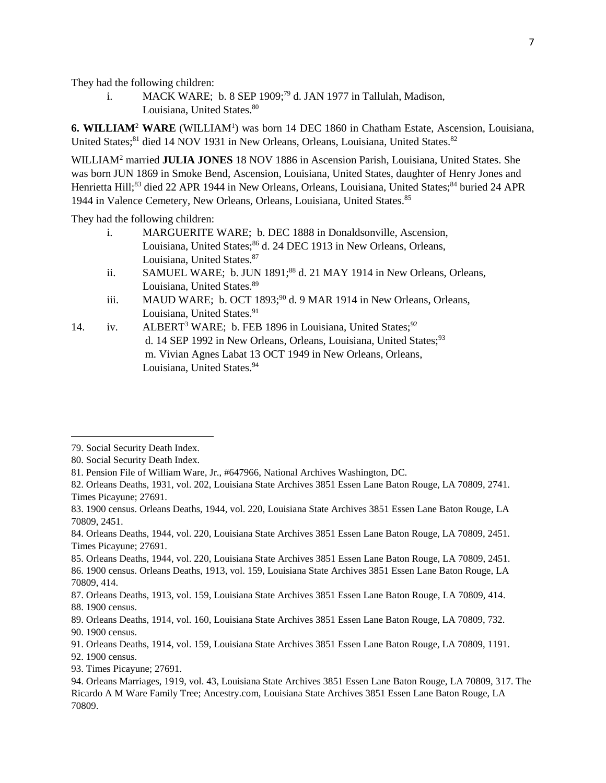They had the following children:

i. MACK WARE; b. 8 SEP 1909;<sup>79</sup> d. JAN 1977 in Tallulah, Madison, Louisiana, United States.<sup>80</sup>

**6. WILLIAM**<sup>2</sup> **WARE** (WILLIAM<sup>1</sup> ) was born 14 DEC 1860 in Chatham Estate, Ascension, Louisiana, United States;<sup>81</sup> died 14 NOV 1931 in New Orleans, Orleans, Louisiana, United States.<sup>82</sup>

WILLIAM<sup>2</sup> married **JULIA JONES** 18 NOV 1886 in Ascension Parish, Louisiana, United States. She was born JUN 1869 in Smoke Bend, Ascension, Louisiana, United States, daughter of Henry Jones and Henrietta Hill;<sup>83</sup> died 22 APR 1944 in New Orleans, Orleans, Louisiana, United States;<sup>84</sup> buried 24 APR 1944 in Valence Cemetery, New Orleans, Orleans, Louisiana, United States.<sup>85</sup>

They had the following children:

- i. MARGUERITE WARE; b. DEC 1888 in Donaldsonville, Ascension, Louisiana, United States;<sup>86</sup> d. 24 DEC 1913 in New Orleans, Orleans, Louisiana, United States. 87
- ii. SAMUEL WARE; b. JUN 1891;<sup>88</sup> d. 21 MAY 1914 in New Orleans, Orleans, Louisiana, United States.<sup>89</sup>
- iii. MAUD WARE; b. OCT  $1893;^{90}$  d. 9 MAR 1914 in New Orleans, Orleans, Louisiana, United States.<sup>91</sup>
- 14. iv. ALBERT<sup>3</sup> WARE; b. FEB 1896 in Louisiana, United States;<sup>92</sup> d. 14 SEP 1992 in New Orleans, Orleans, Louisiana, United States;<sup>93</sup> m. Vivian Agnes Labat 13 OCT 1949 in New Orleans, Orleans, Louisiana, United States.<sup>94</sup>

 $\overline{\phantom{a}}$ 

84. Orleans Deaths, 1944, vol. 220, Louisiana State Archives 3851 Essen Lane Baton Rouge, LA 70809, 2451. Times Picayune; 27691.

85. Orleans Deaths, 1944, vol. 220, Louisiana State Archives 3851 Essen Lane Baton Rouge, LA 70809, 2451. 86. 1900 census. Orleans Deaths, 1913, vol. 159, Louisiana State Archives 3851 Essen Lane Baton Rouge, LA 70809, 414.

87. Orleans Deaths, 1913, vol. 159, Louisiana State Archives 3851 Essen Lane Baton Rouge, LA 70809, 414. 88. 1900 census.

89. Orleans Deaths, 1914, vol. 160, Louisiana State Archives 3851 Essen Lane Baton Rouge, LA 70809, 732. 90. 1900 census.

91. Orleans Deaths, 1914, vol. 159, Louisiana State Archives 3851 Essen Lane Baton Rouge, LA 70809, 1191. 92. 1900 census.

93. Times Picayune; 27691.

<sup>79.</sup> Social Security Death Index.

<sup>80.</sup> Social Security Death Index.

<sup>81.</sup> Pension File of William Ware, Jr., #647966, National Archives Washington, DC.

<sup>82.</sup> Orleans Deaths, 1931, vol. 202, Louisiana State Archives 3851 Essen Lane Baton Rouge, LA 70809, 2741. Times Picayune; 27691.

<sup>83. 1900</sup> census. Orleans Deaths, 1944, vol. 220, Louisiana State Archives 3851 Essen Lane Baton Rouge, LA 70809, 2451.

<sup>94.</sup> Orleans Marriages, 1919, vol. 43, Louisiana State Archives 3851 Essen Lane Baton Rouge, LA 70809, 317. The Ricardo A M Ware Family Tree; Ancestry.com, Louisiana State Archives 3851 Essen Lane Baton Rouge, LA 70809.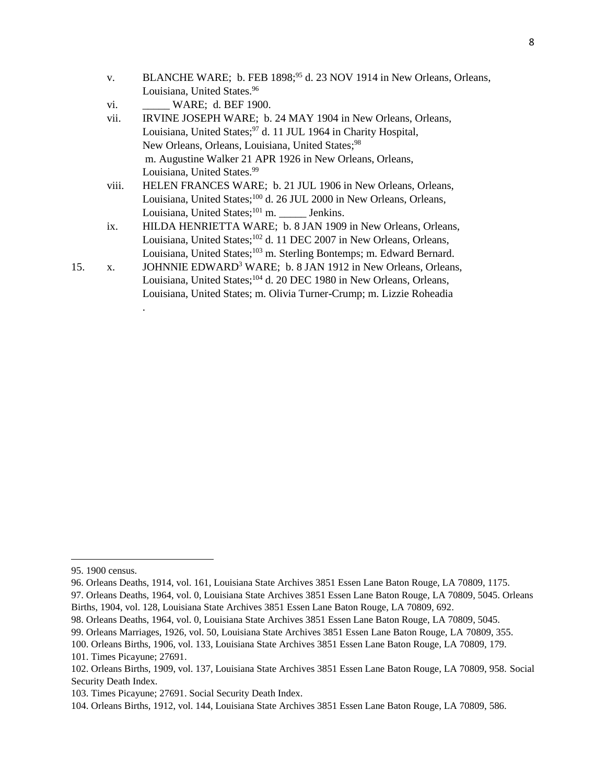- v. BLANCHE WARE; b. FEB 1898;<sup>95</sup> d. 23 NOV 1914 in New Orleans, Orleans, Louisiana, United States.<sup>96</sup>
- vi. **WARE**; d. BEF 1900.
- vii. IRVINE JOSEPH WARE; b. 24 MAY 1904 in New Orleans, Orleans, Louisiana, United States;<sup>97</sup> d. 11 JUL 1964 in Charity Hospital, New Orleans, Orleans, Louisiana, United States;<sup>98</sup> m. Augustine Walker 21 APR 1926 in New Orleans, Orleans, Louisiana, United States.<sup>99</sup>
- viii. HELEN FRANCES WARE; b. 21 JUL 1906 in New Orleans, Orleans, Louisiana, United States;<sup>100</sup> d. 26 JUL 2000 in New Orleans, Orleans, Louisiana, United States;<sup>101</sup> m. Jenkins.
- ix. HILDA HENRIETTA WARE; b. 8 JAN 1909 in New Orleans, Orleans, Louisiana, United States;<sup>102</sup> d. 11 DEC 2007 in New Orleans, Orleans, Louisiana, United States;<sup>103</sup> m. Sterling Bontemps; m. Edward Bernard.
- 15. x. JOHNNIE EDWARD<sup>3</sup> WARE; b. 8 JAN 1912 in New Orleans, Orleans, Louisiana, United States;<sup>104</sup> d. 20 DEC 1980 in New Orleans, Orleans, Louisiana, United States; m. Olivia Turner-Crump; m. Lizzie Roheadia

l

.

<sup>95. 1900</sup> census.

<sup>96.</sup> Orleans Deaths, 1914, vol. 161, Louisiana State Archives 3851 Essen Lane Baton Rouge, LA 70809, 1175.

<sup>97.</sup> Orleans Deaths, 1964, vol. 0, Louisiana State Archives 3851 Essen Lane Baton Rouge, LA 70809, 5045. Orleans Births, 1904, vol. 128, Louisiana State Archives 3851 Essen Lane Baton Rouge, LA 70809, 692.

<sup>98.</sup> Orleans Deaths, 1964, vol. 0, Louisiana State Archives 3851 Essen Lane Baton Rouge, LA 70809, 5045.

<sup>99.</sup> Orleans Marriages, 1926, vol. 50, Louisiana State Archives 3851 Essen Lane Baton Rouge, LA 70809, 355.

<sup>100.</sup> Orleans Births, 1906, vol. 133, Louisiana State Archives 3851 Essen Lane Baton Rouge, LA 70809, 179.

<sup>101.</sup> Times Picayune; 27691.

<sup>102.</sup> Orleans Births, 1909, vol. 137, Louisiana State Archives 3851 Essen Lane Baton Rouge, LA 70809, 958. Social Security Death Index.

<sup>103.</sup> Times Picayune; 27691. Social Security Death Index.

<sup>104.</sup> Orleans Births, 1912, vol. 144, Louisiana State Archives 3851 Essen Lane Baton Rouge, LA 70809, 586.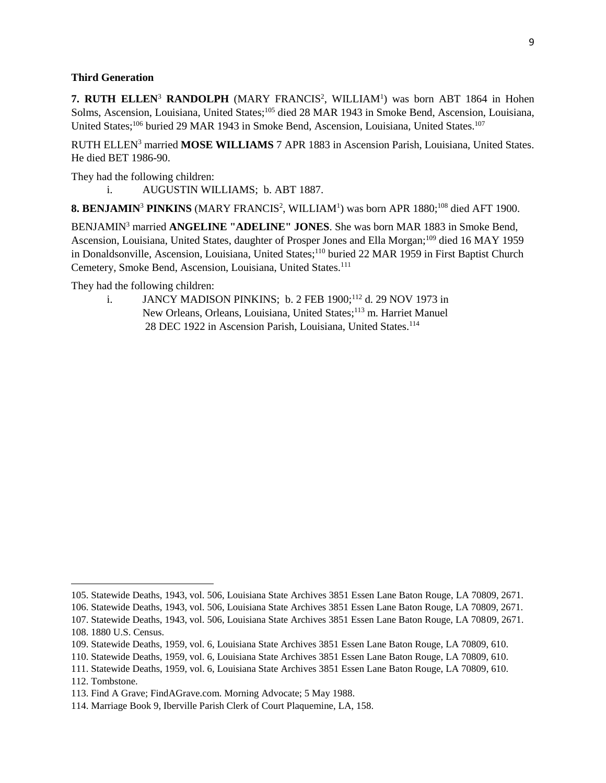#### **Third Generation**

**7. RUTH ELLEN<sup>3</sup> RANDOLPH** (MARY FRANCIS<sup>2</sup>, WILLIAM<sup>1</sup>) was born ABT 1864 in Hohen Solms, Ascension, Louisiana, United States;<sup>105</sup> died 28 MAR 1943 in Smoke Bend, Ascension, Louisiana, United States;<sup>106</sup> buried 29 MAR 1943 in Smoke Bend, Ascension, Louisiana, United States.<sup>107</sup>

RUTH ELLEN<sup>3</sup> married **MOSE WILLIAMS** 7 APR 1883 in Ascension Parish, Louisiana, United States. He died BET 1986-90.

They had the following children:

i. AUGUSTIN WILLIAMS; b. ABT 1887.

8. BENJAMIN<sup>3</sup> PINKINS (MARY FRANCIS<sup>2</sup>, WILLIAM<sup>1</sup>) was born APR 1880;<sup>108</sup> died AFT 1900.

BENJAMIN<sup>3</sup> married **ANGELINE "ADELINE" JONES**. She was born MAR 1883 in Smoke Bend, Ascension, Louisiana, United States, daughter of Prosper Jones and Ella Morgan;<sup>109</sup> died 16 MAY 1959 in Donaldsonville, Ascension, Louisiana, United States;<sup>110</sup> buried 22 MAR 1959 in First Baptist Church Cemetery, Smoke Bend, Ascension, Louisiana, United States.<sup>111</sup>

They had the following children:

 $\overline{\phantom{a}}$ 

i. JANCY MADISON PINKINS; b. 2 FEB 1900;<sup>112</sup> d. 29 NOV 1973 in New Orleans, Orleans, Louisiana, United States;<sup>113</sup> m. Harriet Manuel 28 DEC 1922 in Ascension Parish, Louisiana, United States.<sup>114</sup>

<sup>105.</sup> Statewide Deaths, 1943, vol. 506, Louisiana State Archives 3851 Essen Lane Baton Rouge, LA 70809, 2671.

<sup>106.</sup> Statewide Deaths, 1943, vol. 506, Louisiana State Archives 3851 Essen Lane Baton Rouge, LA 70809, 2671.

<sup>107.</sup> Statewide Deaths, 1943, vol. 506, Louisiana State Archives 3851 Essen Lane Baton Rouge, LA 70809, 2671. 108. 1880 U.S. Census.

<sup>109.</sup> Statewide Deaths, 1959, vol. 6, Louisiana State Archives 3851 Essen Lane Baton Rouge, LA 70809, 610.

<sup>110.</sup> Statewide Deaths, 1959, vol. 6, Louisiana State Archives 3851 Essen Lane Baton Rouge, LA 70809, 610.

<sup>111.</sup> Statewide Deaths, 1959, vol. 6, Louisiana State Archives 3851 Essen Lane Baton Rouge, LA 70809, 610. 112. Tombstone.

<sup>113.</sup> Find A Grave; FindAGrave.com. Morning Advocate; 5 May 1988.

<sup>114.</sup> Marriage Book 9, Iberville Parish Clerk of Court Plaquemine, LA, 158.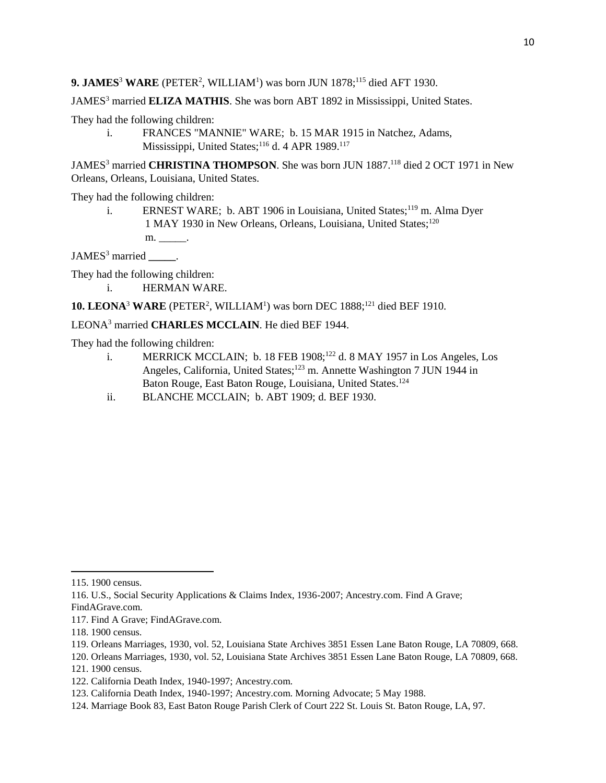JAMES<sup>3</sup> married **ELIZA MATHIS**. She was born ABT 1892 in Mississippi, United States.

They had the following children:

i. FRANCES "MANNIE" WARE; b. 15 MAR 1915 in Natchez, Adams, Mississippi, United States;<sup>116</sup> d. 4 APR 1989.<sup>117</sup>

JAMES<sup>3</sup> married **CHRISTINA THOMPSON**. She was born JUN 1887.<sup>118</sup> died 2 OCT 1971 in New Orleans, Orleans, Louisiana, United States.

They had the following children:

i. ERNEST WARE; b. ABT 1906 in Louisiana, United States;<sup>119</sup> m. Alma Dyer 1 MAY 1930 in New Orleans, Orleans, Louisiana, United States;<sup>120</sup> m. \_\_\_\_\_\_\_.

JAMES<sup>3</sup> married  $\qquad$ .

They had the following children:

i. HERMAN WARE.

**10. LEONA<sup>3</sup> WARE** (PETER<sup>2</sup>, WILLIAM<sup>1</sup>) was born DEC 1888;<sup>121</sup> died BEF 1910.

### LEONA<sup>3</sup> married **CHARLES MCCLAIN**. He died BEF 1944.

They had the following children:

- i. MERRICK MCCLAIN; b. 18 FEB  $1908$ <sup>122</sup> d. 8 MAY 1957 in Los Angeles, Los Angeles, California, United States;<sup>123</sup> m. Annette Washington 7 JUN 1944 in Baton Rouge, East Baton Rouge, Louisiana, United States.<sup>124</sup>
- ii. BLANCHE MCCLAIN; b. ABT 1909; d. BEF 1930.

l

120. Orleans Marriages, 1930, vol. 52, Louisiana State Archives 3851 Essen Lane Baton Rouge, LA 70809, 668.

<sup>115. 1900</sup> census.

<sup>116.</sup> U.S., Social Security Applications & Claims Index, 1936-2007; Ancestry.com. Find A Grave; FindAGrave.com.

<sup>117.</sup> Find A Grave; FindAGrave.com.

<sup>118. 1900</sup> census.

<sup>119.</sup> Orleans Marriages, 1930, vol. 52, Louisiana State Archives 3851 Essen Lane Baton Rouge, LA 70809, 668.

<sup>121. 1900</sup> census.

<sup>122.</sup> California Death Index, 1940-1997; Ancestry.com.

<sup>123.</sup> California Death Index, 1940-1997; Ancestry.com. Morning Advocate; 5 May 1988.

<sup>124.</sup> Marriage Book 83, East Baton Rouge Parish Clerk of Court 222 St. Louis St. Baton Rouge, LA, 97.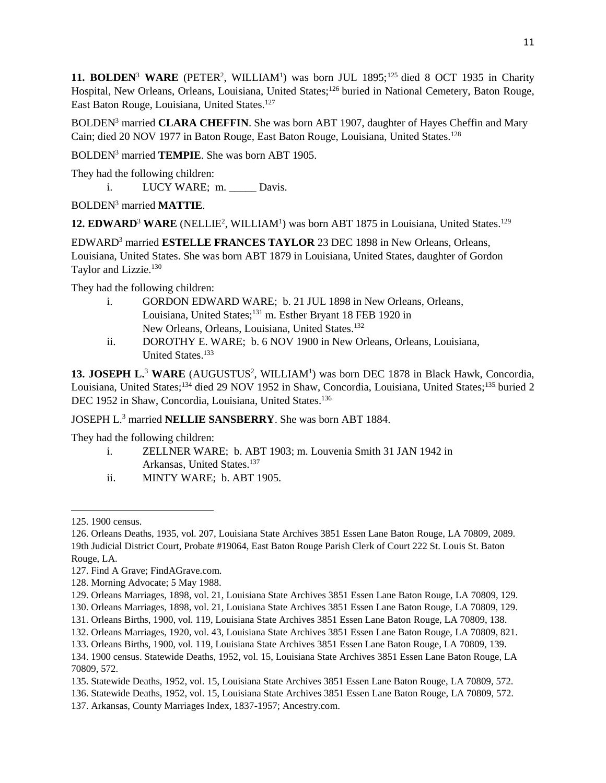**11. BOLDEN<sup>3</sup> WARE** (PETER<sup>2</sup>, WILLIAM<sup>1</sup>) was born JUL 1895;<sup>125</sup> died 8 OCT 1935 in Charity Hospital, New Orleans, Orleans, Louisiana, United States;<sup>126</sup> buried in National Cemetery, Baton Rouge, East Baton Rouge, Louisiana, United States.<sup>127</sup>

BOLDEN<sup>3</sup> married **CLARA CHEFFIN**. She was born ABT 1907, daughter of Hayes Cheffin and Mary Cain; died 20 NOV 1977 in Baton Rouge, East Baton Rouge, Louisiana, United States.<sup>128</sup>

BOLDEN<sup>3</sup> married **TEMPIE**. She was born ABT 1905.

They had the following children:

i. LUCY WARE; m. Davis.

BOLDEN<sup>3</sup> married **MATTIE**.

12. EDWARD<sup>3</sup> WARE (NELLIE<sup>2</sup>, WILLIAM<sup>1</sup>) was born ABT 1875 in Louisiana, United States.<sup>129</sup>

EDWARD<sup>3</sup> married **ESTELLE FRANCES TAYLOR** 23 DEC 1898 in New Orleans, Orleans, Louisiana, United States. She was born ABT 1879 in Louisiana, United States, daughter of Gordon Taylor and Lizzie.<sup>130</sup>

They had the following children:

- i. GORDON EDWARD WARE; b. 21 JUL 1898 in New Orleans, Orleans, Louisiana, United States;<sup>131</sup> m. Esther Bryant 18 FEB 1920 in New Orleans, Orleans, Louisiana, United States.<sup>132</sup>
- ii. DOROTHY E. WARE; b. 6 NOV 1900 in New Orleans, Orleans, Louisiana, United States.<sup>133</sup>

13. JOSEPH L.<sup>3</sup> WARE (AUGUSTUS<sup>2</sup>, WILLIAM<sup>1</sup>) was born DEC 1878 in Black Hawk, Concordia, Louisiana, United States;<sup>134</sup> died 29 NOV 1952 in Shaw, Concordia, Louisiana, United States;<sup>135</sup> buried 2 DEC 1952 in Shaw, Concordia, Louisiana, United States.<sup>136</sup>

JOSEPH L.<sup>3</sup> married **NELLIE SANSBERRY**. She was born ABT 1884.

They had the following children:

- i. ZELLNER WARE; b. ABT 1903; m. Louvenia Smith 31 JAN 1942 in Arkansas, United States.<sup>137</sup>
- ii. MINTY WARE; b. ABT 1905.

<sup>125. 1900</sup> census.

<sup>126.</sup> Orleans Deaths, 1935, vol. 207, Louisiana State Archives 3851 Essen Lane Baton Rouge, LA 70809, 2089. 19th Judicial District Court, Probate #19064, East Baton Rouge Parish Clerk of Court 222 St. Louis St. Baton Rouge, LA.

<sup>127.</sup> Find A Grave; FindAGrave.com.

<sup>128.</sup> Morning Advocate; 5 May 1988.

<sup>129.</sup> Orleans Marriages, 1898, vol. 21, Louisiana State Archives 3851 Essen Lane Baton Rouge, LA 70809, 129.

<sup>130.</sup> Orleans Marriages, 1898, vol. 21, Louisiana State Archives 3851 Essen Lane Baton Rouge, LA 70809, 129.

<sup>131.</sup> Orleans Births, 1900, vol. 119, Louisiana State Archives 3851 Essen Lane Baton Rouge, LA 70809, 138.

<sup>132.</sup> Orleans Marriages, 1920, vol. 43, Louisiana State Archives 3851 Essen Lane Baton Rouge, LA 70809, 821.

<sup>133.</sup> Orleans Births, 1900, vol. 119, Louisiana State Archives 3851 Essen Lane Baton Rouge, LA 70809, 139. 134. 1900 census. Statewide Deaths, 1952, vol. 15, Louisiana State Archives 3851 Essen Lane Baton Rouge, LA 70809, 572.

<sup>135.</sup> Statewide Deaths, 1952, vol. 15, Louisiana State Archives 3851 Essen Lane Baton Rouge, LA 70809, 572.

<sup>136.</sup> Statewide Deaths, 1952, vol. 15, Louisiana State Archives 3851 Essen Lane Baton Rouge, LA 70809, 572.

<sup>137.</sup> Arkansas, County Marriages Index, 1837-1957; Ancestry.com.